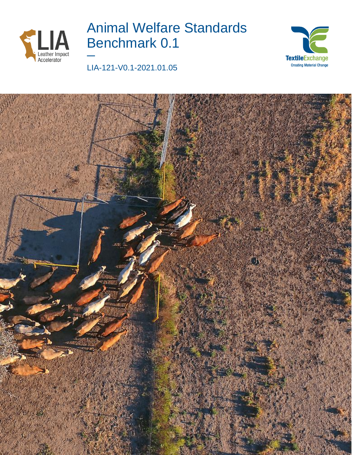

# Animal Welfare Standards Benchmark 0.1 **—**





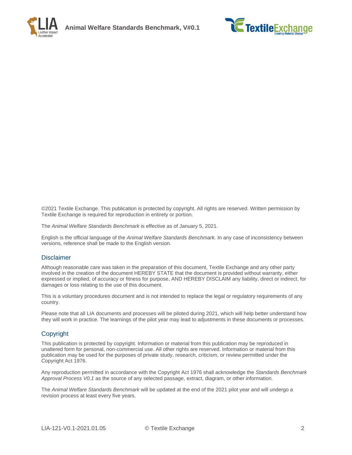



©2021 Textile Exchange. This publication is protected by copyright. All rights are reserved. Written permission by Textile Exchange is required for reproduction in entirety or portion.

The *Animal Welfare Standards Benchmark* is effective as of January 5, 2021.

English is the official language of the *Animal Welfare Standards Benchmark.* In any case of inconsistency between versions, reference shall be made to the English version.

#### **Disclaimer**

Although reasonable care was taken in the preparation of this document, Textile Exchange and any other party involved in the creation of the document HEREBY STATE that the document is provided without warranty, either expressed or implied, of accuracy or fitness for purpose, AND HEREBY DISCLAIM any liability, direct or indirect, for damages or loss relating to the use of this document.

This is a voluntary procedures document and is not intended to replace the legal or regulatory requirements of any country.

Please note that all LIA documents and processes will be piloted during 2021, which will help better understand how they will work in practice. The learnings of the pilot year may lead to adjustments in these documents or processes.

#### Copyright

This publication is protected by copyright. Information or material from this publication may be reproduced in unaltered form for personal, non-commercial use. All other rights are reserved. Information or material from this publication may be used for the purposes of private study, research, criticism, or review permitted under the Copyright Act 1976.

Any reproduction permitted in accordance with the Copyright Act 1976 shall acknowledge the *Standards Benchmark Approval Process V0.1* as the source of any selected passage, extract, diagram, or other information.

The *Animal Welfare Standards Benchmark* will be updated at the end of the 2021 pilot year and will undergo a revision process at least every five years.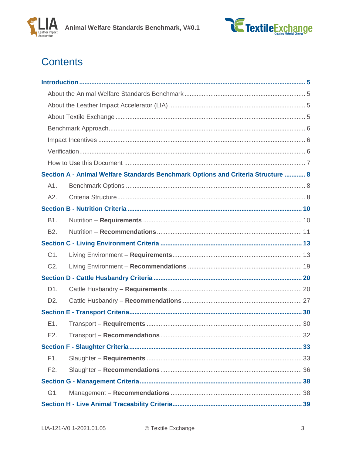



# **Contents**

| Section A - Animal Welfare Standards Benchmark Options and Criteria Structure  8 |  |
|----------------------------------------------------------------------------------|--|
| A1.                                                                              |  |
| A2.                                                                              |  |
|                                                                                  |  |
| B1.                                                                              |  |
| B <sub>2</sub> .                                                                 |  |
|                                                                                  |  |
| C1.                                                                              |  |
| C <sub>2</sub> .                                                                 |  |
|                                                                                  |  |
| D1.                                                                              |  |
| D <sub>2</sub> .                                                                 |  |
|                                                                                  |  |
| E1.                                                                              |  |
| E2.                                                                              |  |
|                                                                                  |  |
| F1.                                                                              |  |
| F <sub>2</sub> .                                                                 |  |
|                                                                                  |  |
| G1.                                                                              |  |
|                                                                                  |  |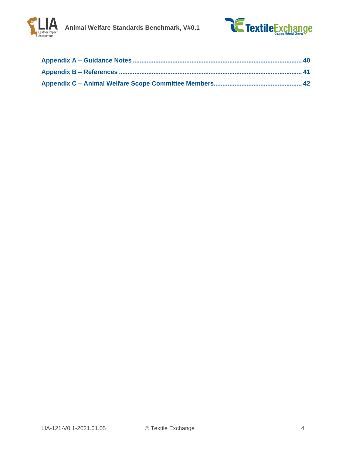

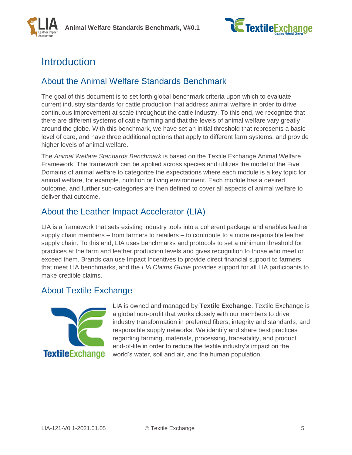

# <span id="page-4-0"></span>**Introduction**

## <span id="page-4-1"></span>About the Animal Welfare Standards Benchmark

The goal of this document is to set forth global benchmark criteria upon which to evaluate current industry standards for cattle production that address animal welfare in order to drive continuous improvement at scale throughout the cattle industry. To this end, we recognize that there are different systems of cattle farming and that the levels of animal welfare vary greatly around the globe. With this benchmark, we have set an initial threshold that represents a basic level of care, and have three additional options that apply to different farm systems, and provide higher levels of animal welfare.

The *Animal Welfare Standards Benchmark* is based on the Textile Exchange Animal Welfare Framework. The framework can be applied across species and utilizes the model of the Five Domains of animal welfare to categorize the expectations where each module is a key topic for animal welfare, for example, nutrition or living environment. Each module has a desired outcome, and further sub-categories are then defined to cover all aspects of animal welfare to deliver that outcome.

## <span id="page-4-2"></span>About the Leather Impact Accelerator (LIA)

LIA is a framework that sets existing industry tools into a coherent package and enables leather supply chain members – from farmers to retailers – to contribute to a more responsible leather supply chain. To this end, LIA uses benchmarks and protocols to set a minimum threshold for practices at the farm and leather production levels and gives recognition to those who meet or exceed them. Brands can use Impact Incentives to provide direct financial support to farmers that meet LIA benchmarks, and the *LIA Claims Guide* provides support for all LIA participants to make credible claims.

## <span id="page-4-3"></span>About Textile Exchange



LIA is owned and managed by **Textile Exchange**. Textile Exchange is a global non-profit that works closely with our members to drive industry transformation in preferred fibers, integrity and standards, and responsible supply networks. We identify and share best practices regarding farming, materials, processing, traceability, and product end-of-life in order to reduce the textile industry's impact on the world's water, soil and air, and the human population.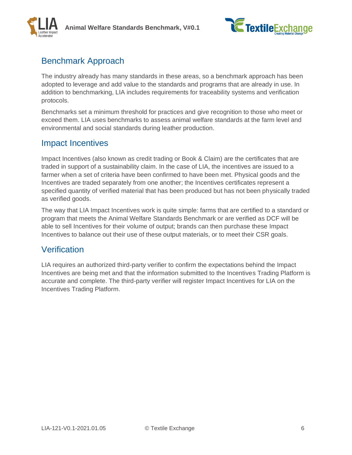



## <span id="page-5-0"></span>Benchmark Approach

The industry already has many standards in these areas, so a benchmark approach has been adopted to leverage and add value to the standards and programs that are already in use. In addition to benchmarking, LIA includes requirements for traceability systems and verification protocols.

Benchmarks set a minimum threshold for practices and give recognition to those who meet or exceed them. LIA uses benchmarks to assess animal welfare standards at the farm level and environmental and social standards during leather production.

### <span id="page-5-1"></span>Impact Incentives

Impact Incentives (also known as credit trading or Book & Claim) are the certificates that are traded in support of a sustainability claim. In the case of LIA, the incentives are issued to a farmer when a set of criteria have been confirmed to have been met. Physical goods and the Incentives are traded separately from one another; the Incentives certificates represent a specified quantity of verified material that has been produced but has not been physically traded as verified goods.

The way that LIA Impact Incentives work is quite simple: farms that are certified to a standard or program that meets the Animal Welfare Standards Benchmark or are verified as DCF will be able to sell Incentives for their volume of output; brands can then purchase these Impact Incentives to balance out their use of these output materials, or to meet their CSR goals.

## <span id="page-5-2"></span>Verification

LIA requires an authorized third-party verifier to confirm the expectations behind the Impact Incentives are being met and that the information submitted to the Incentives Trading Platform is accurate and complete. The third-party verifier will register Impact Incentives for LIA on the Incentives Trading Platform.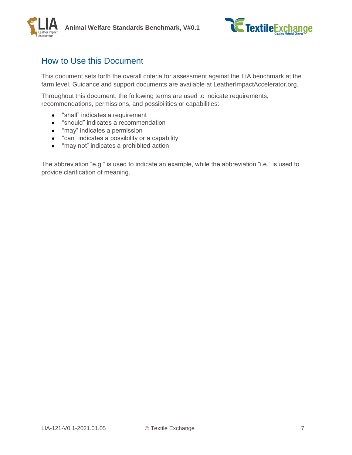



## <span id="page-6-0"></span>How to Use this Document

This document sets forth the overall criteria for assessment against the LIA benchmark at the farm level. Guidance and support documents are available at LeatherImpactAccelerator.org.

Throughout this document, the following terms are used to indicate requirements, recommendations, permissions, and possibilities or capabilities:

- "shall" indicates a requirement
- "should" indicates a recommendation
- "may" indicates a permission
- "can" indicates a possibility or a capability
- "may not" indicates a prohibited action

The abbreviation "e.g." is used to indicate an example, while the abbreviation "i.e." is used to provide clarification of meaning.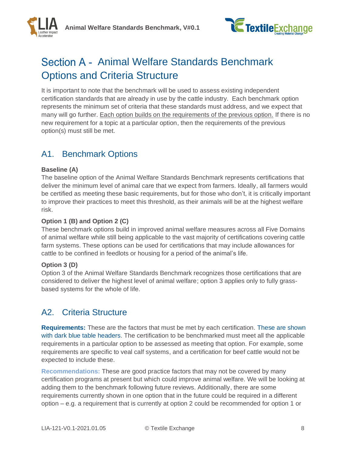



# <span id="page-7-0"></span>Section A - Animal Welfare Standards Benchmark Options and Criteria Structure

It is important to note that the benchmark will be used to assess existing independent certification standards that are already in use by the cattle industry. Each benchmark option represents the minimum set of criteria that these standards must address, and we expect that many will go further. Each option builds on the requirements of the previous option. If there is no new requirement for a topic at a particular option, then the requirements of the previous option(s) must still be met.

## <span id="page-7-1"></span>A1. Benchmark Options

### **Baseline (A)**

The baseline option of the Animal Welfare Standards Benchmark represents certifications that deliver the minimum level of animal care that we expect from farmers. Ideally, all farmers would be certified as meeting these basic requirements, but for those who don't, it is critically important to improve their practices to meet this threshold, as their animals will be at the highest welfare risk.

### **Option 1 (B) and Option 2 (C)**

These benchmark options build in improved animal welfare measures across all Five Domains of animal welfare while still being applicable to the vast majority of certifications covering cattle farm systems. These options can be used for certifications that may include allowances for cattle to be confined in feedlots or housing for a period of the animal's life.

### **Option 3 (D)**

Option 3 of the Animal Welfare Standards Benchmark recognizes those certifications that are considered to deliver the highest level of animal welfare; option 3 applies only to fully grassbased systems for the whole of life.

## <span id="page-7-2"></span>A2. Criteria Structure

**Requirements:** These are the factors that must be met by each certification. These are shown with dark blue table headers. The certification to be benchmarked must meet all the applicable requirements in a particular option to be assessed as meeting that option. For example, some requirements are specific to veal calf systems, and a certification for beef cattle would not be expected to include these.

**Recommendations:** These are good practice factors that may not be covered by many certification programs at present but which could improve animal welfare. We will be looking at adding them to the benchmark following future reviews. Additionally, there are some requirements currently shown in one option that in the future could be required in a different option – e.g. a requirement that is currently at option 2 could be recommended for option 1 or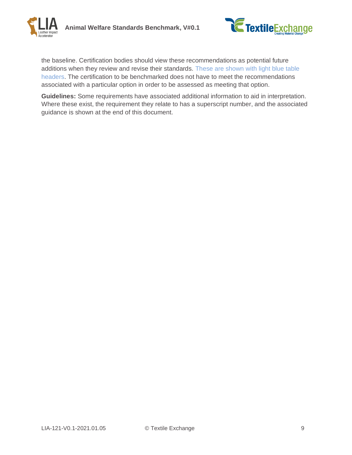



the baseline. Certification bodies should view these recommendations as potential future additions when they review and revise their standards. These are shown with light blue table headers. The certification to be benchmarked does not have to meet the recommendations associated with a particular option in order to be assessed as meeting that option.

**Guidelines:** Some requirements have associated additional information to aid in interpretation. Where these exist, the requirement they relate to has a superscript number, and the associated guidance is shown at the end of this document.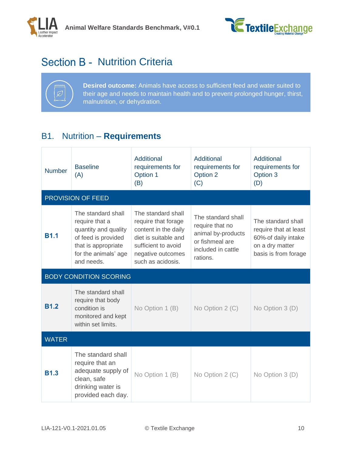



# <span id="page-9-0"></span>Section B - Nutrition Criteria



**Desired outcome:** Animals have access to sufficient feed and water suited to their age and needs to maintain health and to prevent prolonged hunger, thirst, malnutrition, or dehydration.

## <span id="page-9-1"></span>B1. Nutrition – **Requirements**

| <b>Number</b> | <b>Baseline</b><br>(A)                                                                                                                           | Additional<br>requirements for<br>Option 1<br>(B)                                                                                                          | Additional<br>requirements for<br>Option 2<br>(C)                                                                | Additional<br>requirements for<br>Option 3<br>(D)                                                             |
|---------------|--------------------------------------------------------------------------------------------------------------------------------------------------|------------------------------------------------------------------------------------------------------------------------------------------------------------|------------------------------------------------------------------------------------------------------------------|---------------------------------------------------------------------------------------------------------------|
|               | PROVISION OF FEED                                                                                                                                |                                                                                                                                                            |                                                                                                                  |                                                                                                               |
| <b>B1.1</b>   | The standard shall<br>require that a<br>quantity and quality<br>of feed is provided<br>that is appropriate<br>for the animals' age<br>and needs. | The standard shall<br>require that forage<br>content in the daily<br>diet is suitable and<br>sufficient to avoid<br>negative outcomes<br>such as acidosis. | The standard shall<br>require that no<br>animal by-products<br>or fishmeal are<br>included in cattle<br>rations. | The standard shall<br>require that at least<br>60%-of daily intake<br>on a dry matter<br>basis is from forage |
|               | <b>BODY CONDITION SCORING</b>                                                                                                                    |                                                                                                                                                            |                                                                                                                  |                                                                                                               |
| <b>B1.2</b>   | The standard shall<br>require that body<br>condition is<br>monitored and kept<br>within set limits.                                              | No Option 1 (B)                                                                                                                                            | No Option 2 (C)                                                                                                  | No Option 3 (D)                                                                                               |
| <b>WATER</b>  |                                                                                                                                                  |                                                                                                                                                            |                                                                                                                  |                                                                                                               |
| <b>B1.3</b>   | The standard shall<br>require that an<br>adequate supply of<br>clean, safe<br>drinking water is<br>provided each day.                            | No Option 1 (B)                                                                                                                                            | No Option 2 (C)                                                                                                  | No Option $3(D)$                                                                                              |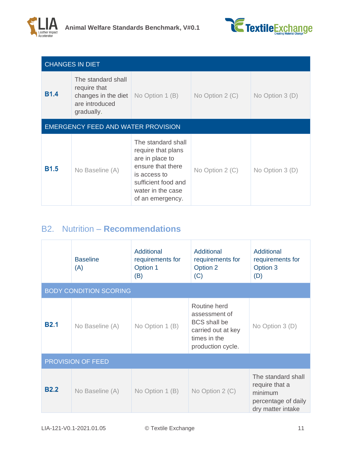



| <b>CHANGES IN DIET</b> |                                                                                           |                                                                                                                                                                  |                 |                  |  |
|------------------------|-------------------------------------------------------------------------------------------|------------------------------------------------------------------------------------------------------------------------------------------------------------------|-----------------|------------------|--|
| <b>B1.4</b>            | The standard shall<br>require that<br>changes in the diet<br>are introduced<br>gradually. | No Option 1 (B)                                                                                                                                                  | No Option 2 (C) | No Option $3(D)$ |  |
|                        | <b>EMERGENCY FEED AND WATER PROVISION</b>                                                 |                                                                                                                                                                  |                 |                  |  |
| <b>B1.5</b>            | No Baseline (A)                                                                           | The standard shall<br>require that plans<br>are in place to<br>ensure that there<br>is access to<br>sufficient food and<br>water in the case<br>of an emergency. | No Option 2 (C) | No Option $3(D)$ |  |

## <span id="page-10-0"></span>B2. Nutrition – **Recommendations**

|                          | <b>Baseline</b><br>(A)        | Additional<br>requirements for<br>Option 1<br>(B) | Additional<br>requirements for<br>Option 2<br>(C)                                                               | Additional<br>requirements for<br>Option 3<br>(D)                                           |
|--------------------------|-------------------------------|---------------------------------------------------|-----------------------------------------------------------------------------------------------------------------|---------------------------------------------------------------------------------------------|
|                          | <b>BODY CONDITION SCORING</b> |                                                   |                                                                                                                 |                                                                                             |
| <b>B2.1</b>              | No Baseline (A)               | No Option 1 (B)                                   | Routine herd<br>assessment of<br><b>BCS</b> shall be<br>carried out at key<br>times in the<br>production cycle. | No Option 3 (D)                                                                             |
| <b>PROVISION OF FEED</b> |                               |                                                   |                                                                                                                 |                                                                                             |
| <b>B2.2</b>              | No Baseline (A)               | No Option 1 (B)                                   | No Option 2 (C)                                                                                                 | The standard shall<br>require that a<br>minimum<br>percentage of daily<br>dry matter intake |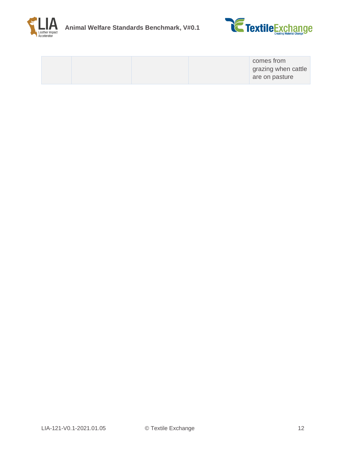



|  | comes from          |
|--|---------------------|
|  | grazing when cattle |
|  | are on pasture      |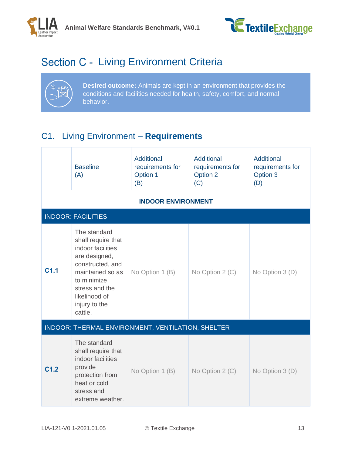



# <span id="page-12-0"></span>Section C - Living Environment Criteria



**Desired outcome:** Animals are kept in an environment that provides the conditions and facilities needed for health, safety, comfort, and normal behavior.

## <span id="page-12-1"></span>C1. Living Environment – **Requirements**

|                  | <b>Baseline</b><br>(A)                                                                                                                                                                         | <b>Additional</b><br>requirements for<br>Option 1<br>(B) | <b>Additional</b><br>requirements for<br>Option 2<br>(C) | Additional<br>requirements for<br>Option 3<br>(D) |
|------------------|------------------------------------------------------------------------------------------------------------------------------------------------------------------------------------------------|----------------------------------------------------------|----------------------------------------------------------|---------------------------------------------------|
|                  |                                                                                                                                                                                                | <b>INDOOR ENVIRONMENT</b>                                |                                                          |                                                   |
|                  | <b>INDOOR: FACILITIES</b>                                                                                                                                                                      |                                                          |                                                          |                                                   |
| C <sub>1.1</sub> | The standard<br>shall require that<br>indoor facilities<br>are designed,<br>constructed, and<br>maintained so as<br>to minimize<br>stress and the<br>likelihood of<br>injury to the<br>cattle. | No Option 1 (B)                                          | No Option 2 (C)                                          | No Option 3 (D)                                   |
|                  |                                                                                                                                                                                                | INDOOR: THERMAL ENVIRONMENT, VENTILATION, SHELTER        |                                                          |                                                   |
| C <sub>1.2</sub> | The standard<br>shall require that<br>indoor facilities<br>provide<br>protection from<br>heat or cold<br>stress and<br>extreme weather.                                                        | No Option 1 (B)                                          | No Option 2 (C)                                          | No Option 3 (D)                                   |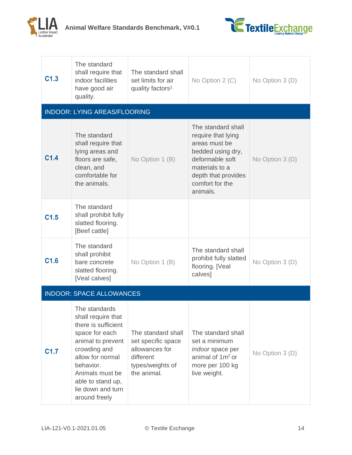



| C <sub>1.3</sub> | The standard<br>shall require that<br>indoor facilities<br>have good air<br>quality.                                                                                                                                             | The standard shall<br>set limits for air<br>quality factors <sup>1</sup>                                   | No Option 2 (C)                                                                                                                                                           | No Option 3 (D) |
|------------------|----------------------------------------------------------------------------------------------------------------------------------------------------------------------------------------------------------------------------------|------------------------------------------------------------------------------------------------------------|---------------------------------------------------------------------------------------------------------------------------------------------------------------------------|-----------------|
|                  | <b>INDOOR: LYING AREAS/FLOORING</b>                                                                                                                                                                                              |                                                                                                            |                                                                                                                                                                           |                 |
| C <sub>1.4</sub> | The standard<br>shall require that<br>lying areas and<br>floors are safe,<br>clean, and<br>comfortable for<br>the animals.                                                                                                       | No Option 1 (B)                                                                                            | The standard shall<br>require that lying<br>areas must be<br>bedded using dry,<br>deformable soft<br>materials to a<br>depth that provides<br>comfort for the<br>animals. | No Option 3 (D) |
| C <sub>1.5</sub> | The standard<br>shall prohibit fully<br>slatted flooring.<br>[Beef cattle]                                                                                                                                                       |                                                                                                            |                                                                                                                                                                           |                 |
| C <sub>1.6</sub> | The standard<br>shall prohibit<br>bare concrete<br>slatted flooring.<br>[Veal calves]                                                                                                                                            | No Option 1 (B)                                                                                            | The standard shall<br>prohibit fully slatted<br>flooring. [Veal<br>calves]                                                                                                | No Option 3 (D) |
|                  | <b>INDOOR: SPACE ALLOWANCES</b>                                                                                                                                                                                                  |                                                                                                            |                                                                                                                                                                           |                 |
| C <sub>1.7</sub> | The standards<br>shall require that<br>there is sufficient<br>space for each<br>animal to prevent<br>crowding and<br>allow for normal<br>behavior.<br>Animals must be<br>able to stand up,<br>lie down and turn<br>around freely | The standard shall<br>set specific space<br>allowances for<br>different<br>types/weights of<br>the animal. | The standard shall<br>set a minimum<br><i>indoor</i> space per<br>animal of 1m <sup>2</sup> or<br>more per 100 kg<br>live weight.                                         | No Option 3 (D) |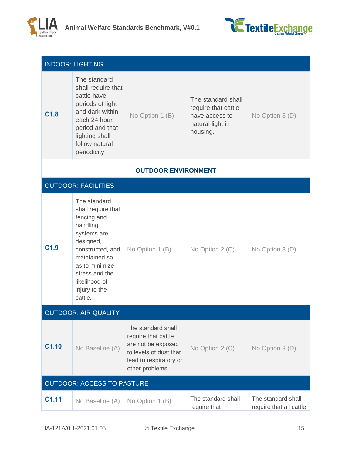



|                  | <b>INDOOR: LIGHTING</b>                                                                                                                                                                                         |                                                                                                                                       |                                                                                             |                                               |
|------------------|-----------------------------------------------------------------------------------------------------------------------------------------------------------------------------------------------------------------|---------------------------------------------------------------------------------------------------------------------------------------|---------------------------------------------------------------------------------------------|-----------------------------------------------|
| C <sub>1.8</sub> | The standard<br>shall require that<br>cattle have<br>periods of light<br>and dark within<br>each 24 hour<br>period and that<br>lighting shall<br>follow natural<br>periodicity                                  | No Option 1 (B)                                                                                                                       | The standard shall<br>require that cattle<br>have access to<br>natural light in<br>housing. | No Option 3 (D)                               |
|                  |                                                                                                                                                                                                                 | <b>OUTDOOR ENVIRONMENT</b>                                                                                                            |                                                                                             |                                               |
|                  | <b>OUTDOOR: FACILITIES</b>                                                                                                                                                                                      |                                                                                                                                       |                                                                                             |                                               |
| C <sub>1.9</sub> | The standard<br>shall require that<br>fencing and<br>handling<br>systems are<br>designed,<br>constructed, and<br>maintained so<br>as to minimize<br>stress and the<br>likelihood of<br>injury to the<br>cattle. | No Option 1 (B)                                                                                                                       | No Option 2 (C)                                                                             | No Option 3 (D)                               |
|                  | <b>OUTDOOR: AIR QUALITY</b>                                                                                                                                                                                     |                                                                                                                                       |                                                                                             |                                               |
| C1.10            | No Baseline (A)                                                                                                                                                                                                 | The standard shall<br>require that cattle<br>are not be exposed<br>to levels of dust that<br>lead to respiratory or<br>other problems | No Option 2 (C)                                                                             | No Option 3 (D)                               |
|                  | <b>OUTDOOR: ACCESS TO PASTURE</b>                                                                                                                                                                               |                                                                                                                                       |                                                                                             |                                               |
| C1.11            | No Baseline (A)                                                                                                                                                                                                 | No Option 1 (B)                                                                                                                       | The standard shall<br>require that                                                          | The standard shall<br>require that all cattle |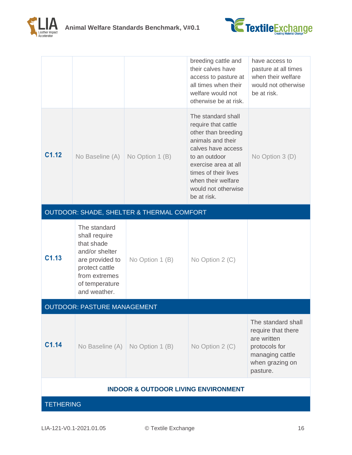



|                                                |                                                                                                                                                       |                                           | breeding cattle and<br>their calves have<br>access to pasture at<br>all times when their<br>welfare would not<br>otherwise be at risk.                                                                                                   | have access to<br>pasture at all times<br>when their welfare<br>would not otherwise<br>be at risk.                         |
|------------------------------------------------|-------------------------------------------------------------------------------------------------------------------------------------------------------|-------------------------------------------|------------------------------------------------------------------------------------------------------------------------------------------------------------------------------------------------------------------------------------------|----------------------------------------------------------------------------------------------------------------------------|
| C <sub>1.12</sub>                              | No Baseline (A)                                                                                                                                       | No Option 1 (B)                           | The standard shall<br>require that cattle<br>other than breeding<br>animals and their<br>calves have access<br>to an outdoor<br>exercise area at all<br>times of their lives<br>when their welfare<br>would not otherwise<br>be at risk. | No Option 3 (D)                                                                                                            |
|                                                |                                                                                                                                                       | OUTDOOR: SHADE, SHELTER & THERMAL COMFORT |                                                                                                                                                                                                                                          |                                                                                                                            |
| C <sub>1.13</sub>                              | The standard<br>shall require<br>that shade<br>and/or shelter<br>are provided to<br>protect cattle<br>from extremes<br>of temperature<br>and weather. | No Option 1 (B)                           | No Option 2 (C)                                                                                                                                                                                                                          |                                                                                                                            |
|                                                | <b>OUTDOOR: PASTURE MANAGEMENT</b>                                                                                                                    |                                           |                                                                                                                                                                                                                                          |                                                                                                                            |
| C1.14                                          | No Baseline (A)                                                                                                                                       | No Option 1 (B)                           | No Option 2 (C)                                                                                                                                                                                                                          | The standard shall<br>require that there<br>are written<br>protocols for<br>managing cattle<br>when grazing on<br>pasture. |
| <b>INDOOR &amp; OUTDOOR LIVING ENVIRONMENT</b> |                                                                                                                                                       |                                           |                                                                                                                                                                                                                                          |                                                                                                                            |
| <b>TETHERING</b>                               |                                                                                                                                                       |                                           |                                                                                                                                                                                                                                          |                                                                                                                            |
|                                                |                                                                                                                                                       |                                           |                                                                                                                                                                                                                                          |                                                                                                                            |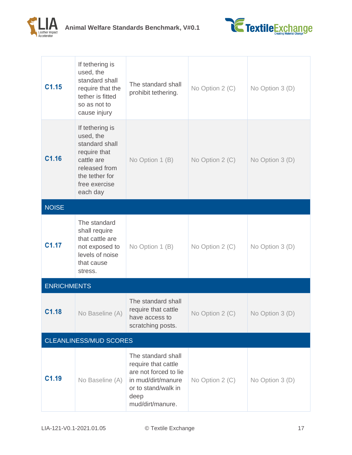



| C1.15                         | If tethering is<br>used, the<br>standard shall<br>require that the<br>tether is fitted<br>so as not to<br>cause injury                       | The standard shall<br>prohibit tethering.                                                                                                   | No Option 2 (C)                     | No Option 3 (D) |
|-------------------------------|----------------------------------------------------------------------------------------------------------------------------------------------|---------------------------------------------------------------------------------------------------------------------------------------------|-------------------------------------|-----------------|
| C1.16                         | If tethering is<br>used, the<br>standard shall<br>require that<br>cattle are<br>released from<br>the tether for<br>free exercise<br>each day | No Option 1 (B)                                                                                                                             | No Option 2 (C)                     | No Option 3 (D) |
| <b>NOISE</b>                  |                                                                                                                                              |                                                                                                                                             |                                     |                 |
| C1.17                         | The standard<br>shall require<br>that cattle are<br>not exposed to<br>levels of noise<br>that cause<br>stress.                               | No Option 1 (B)                                                                                                                             | No Option 2 (C)                     | No Option 3 (D) |
| <b>ENRICHMENTS</b>            |                                                                                                                                              |                                                                                                                                             |                                     |                 |
| C1.18                         | No Baseline (A)                                                                                                                              | The standard shall<br>require that cattle<br>have access to<br>scratching posts.                                                            | No Option 2 $(C)$ No Option 3 $(D)$ |                 |
| <b>CLEANLINESS/MUD SCORES</b> |                                                                                                                                              |                                                                                                                                             |                                     |                 |
| C1.19                         | No Baseline (A)                                                                                                                              | The standard shall<br>require that cattle<br>are not forced to lie<br>in mud/dirt/manure<br>or to stand/walk in<br>deep<br>mud/dirt/manure. | No Option 2 (C)                     | No Option 3 (D) |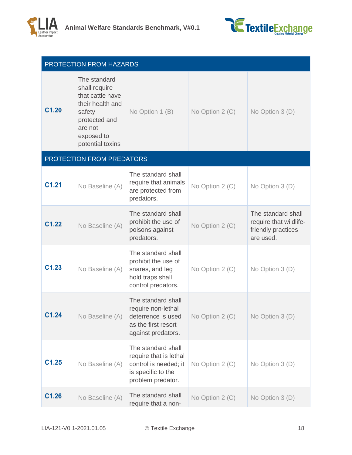



|                   | <b>PROTECTION FROM HAZARDS</b>                                                                                                                |                                                                                                                  |                 |                                                                                 |
|-------------------|-----------------------------------------------------------------------------------------------------------------------------------------------|------------------------------------------------------------------------------------------------------------------|-----------------|---------------------------------------------------------------------------------|
| C <sub>1.20</sub> | The standard<br>shall require<br>that cattle have<br>their health and<br>safety<br>protected and<br>are not<br>exposed to<br>potential toxins | No Option 1 (B)                                                                                                  | No Option 2 (C) | No Option 3 (D)                                                                 |
|                   | PROTECTION FROM PREDATORS                                                                                                                     |                                                                                                                  |                 |                                                                                 |
| C <sub>1.21</sub> | No Baseline (A)                                                                                                                               | The standard shall<br>require that animals<br>are protected from<br>predators.                                   | No Option 2 (C) | No Option 3 (D)                                                                 |
| C1.22             | No Baseline (A)                                                                                                                               | The standard shall<br>prohibit the use of<br>poisons against<br>predators.                                       | No Option 2 (C) | The standard shall<br>require that wildlife-<br>friendly practices<br>are used. |
| C1.23             | No Baseline (A)                                                                                                                               | The standard shall<br>prohibit the use of<br>snares, and leg<br>hold traps shall<br>control predators.           | No Option 2 (C) | No Option 3 (D)                                                                 |
| C1.24             | No Baseline (A)                                                                                                                               | The standard shall<br>require non-lethal<br>deterrence is used<br>as the first resort<br>against predators.      | No Option 2 (C) | No Option 3 (D)                                                                 |
| C1.25             | No Baseline (A)                                                                                                                               | The standard shall<br>require that is lethal<br>control is needed; it<br>is specific to the<br>problem predator. | No Option 2 (C) | No Option 3 (D)                                                                 |
| C1.26             | No Baseline (A)                                                                                                                               | The standard shall<br>require that a non-                                                                        | No Option 2 (C) | No Option 3 (D)                                                                 |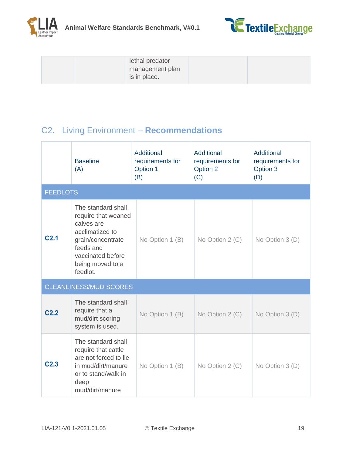



| lethal predator<br>management plan<br>is in place. |  |
|----------------------------------------------------|--|
|----------------------------------------------------|--|

## <span id="page-18-0"></span>C2. Living Environment – **Recommendations**

|                  | <b>Baseline</b><br>(A)                                                                                                                                            | Additional<br>requirements for<br>Option 1<br>(B) | Additional<br>requirements for<br>Option 2<br>(C) | Additional<br>requirements for<br>Option 3<br>(D) |  |  |
|------------------|-------------------------------------------------------------------------------------------------------------------------------------------------------------------|---------------------------------------------------|---------------------------------------------------|---------------------------------------------------|--|--|
|                  | <b>FEEDLOTS</b>                                                                                                                                                   |                                                   |                                                   |                                                   |  |  |
| C <sub>2.1</sub> | The standard shall<br>require that weaned<br>calves are<br>acclimatized to<br>grain/concentrate<br>feeds and<br>vaccinated before<br>being moved to a<br>feedlot. | No Option 1 (B)                                   | No Option 2 (C)                                   | No Option 3 (D)                                   |  |  |
|                  | <b>CLEANLINESS/MUD SCORES</b>                                                                                                                                     |                                                   |                                                   |                                                   |  |  |
| C <sub>2.2</sub> | The standard shall<br>require that a<br>mud/dirt scoring<br>system is used.                                                                                       | No Option 1 (B)                                   | No Option 2 (C)                                   | No Option 3 (D)                                   |  |  |
| C <sub>2.3</sub> | The standard shall<br>require that cattle<br>are not forced to lie<br>in mud/dirt/manure<br>or to stand/walk in<br>deep<br>mud/dirt/manure                        | No Option 1 (B)                                   | No Option 2 (C)                                   | No Option 3 (D)                                   |  |  |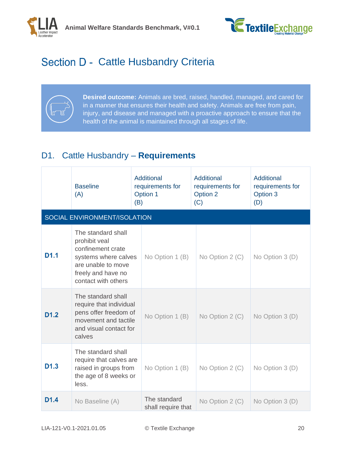



# <span id="page-19-0"></span>Section D - Cattle Husbandry Criteria

**Desired outcome:** Animals are bred, raised, handled, managed, and cared for in a manner that ensures their health and safety. Animals are free from pain, injury, and disease and managed with a proactive approach to ensure that the health of the animal is maintained through all stages of life.

## <span id="page-19-1"></span>D1. Cattle Husbandry – **Requirements**

|                  | <b>Baseline</b><br>(A)                                                                                                                              | Additional<br>requirements for<br>Option 1<br>(B) | Additional<br>requirements for<br>Option 2<br>(C) | Additional<br>requirements for<br>Option 3<br>(D) |
|------------------|-----------------------------------------------------------------------------------------------------------------------------------------------------|---------------------------------------------------|---------------------------------------------------|---------------------------------------------------|
|                  | SOCIAL ENVIRONMENT/ISOLATION                                                                                                                        |                                                   |                                                   |                                                   |
| D1.1             | The standard shall<br>prohibit veal<br>confinement crate<br>systems where calves<br>are unable to move<br>freely and have no<br>contact with others | No Option 1 (B)                                   | No Option 2 (C)                                   | No Option 3 (D)                                   |
| D <sub>1.2</sub> | The standard shall<br>require that individual<br>pens offer freedom of<br>movement and tactile<br>and visual contact for<br>calves                  | No Option 1 (B)                                   | No Option 2 (C)                                   | No Option 3 (D)                                   |
| D <sub>1.3</sub> | The standard shall<br>require that calves are<br>raised in groups from<br>the age of 8 weeks or<br>less.                                            | No Option 1 (B)                                   | No Option $2(C)$                                  | No Option 3 (D)                                   |
| D <sub>1.4</sub> | No Baseline (A)                                                                                                                                     | The standard<br>shall require that                | No Option $2(C)$                                  | No Option $3(D)$                                  |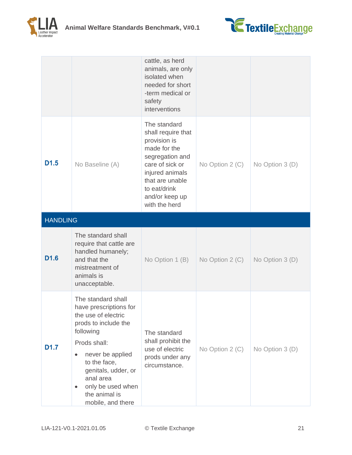



|                  |                                                                                                                                                                                                                                                             | cattle, as herd<br>animals, are only<br>isolated when<br>needed for short<br>-term medical or<br>safety<br>interventions                                                                          |                 |                 |
|------------------|-------------------------------------------------------------------------------------------------------------------------------------------------------------------------------------------------------------------------------------------------------------|---------------------------------------------------------------------------------------------------------------------------------------------------------------------------------------------------|-----------------|-----------------|
| D <sub>1.5</sub> | No Baseline (A)                                                                                                                                                                                                                                             | The standard<br>shall require that<br>provision is<br>made for the<br>segregation and<br>care of sick or<br>injured animals<br>that are unable<br>to eat/drink<br>and/or keep up<br>with the herd | No Option 2 (C) | No Option 3 (D) |
| <b>HANDLING</b>  |                                                                                                                                                                                                                                                             |                                                                                                                                                                                                   |                 |                 |
| D <sub>1.6</sub> | The standard shall<br>require that cattle are<br>handled humanely;<br>and that the<br>mistreatment of<br>animals is<br>unacceptable.                                                                                                                        | No Option 1 (B)                                                                                                                                                                                   | No Option 2 (C) | No Option 3 (D) |
| D <sub>1.7</sub> | The standard shall<br>have prescriptions for<br>the use of electric<br>prods to include the<br>following<br>Prods shall:<br>never be applied<br>to the face,<br>genitals, udder, or<br>anal area<br>only be used when<br>the animal is<br>mobile, and there | The standard<br>shall prohibit the<br>use of electric<br>prods under any<br>circumstance.                                                                                                         | No Option 2 (C) | No Option 3 (D) |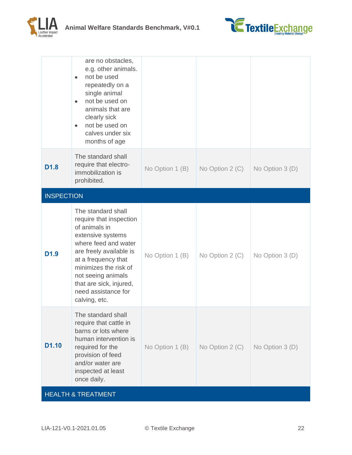



|                               | are no obstacles,<br>e.g. other animals.<br>not be used<br>$\bullet$<br>repeatedly on a<br>single animal<br>not be used on<br>$\bullet$<br>animals that are<br>clearly sick<br>not be used on<br>$\bullet$<br>calves under six<br>months of age                                 |                   |                  |                 |
|-------------------------------|---------------------------------------------------------------------------------------------------------------------------------------------------------------------------------------------------------------------------------------------------------------------------------|-------------------|------------------|-----------------|
| D <sub>1.8</sub>              | The standard shall<br>require that electro-<br>immobilization is<br>prohibited.                                                                                                                                                                                                 | No Option 1 $(B)$ | No Option 2 (C)  | No Option 3 (D) |
| <b>INSPECTION</b>             |                                                                                                                                                                                                                                                                                 |                   |                  |                 |
| D <sub>1.9</sub>              | The standard shall<br>require that inspection<br>of animals in<br>extensive systems<br>where feed and water<br>are freely available is<br>at a frequency that<br>minimizes the risk of<br>not seeing animals<br>that are sick, injured,<br>need assistance for<br>calving, etc. | No Option 1 (B)   | No Option $2(C)$ | No Option 3 (D) |
| D <sub>1.10</sub>             | The standard shall<br>require that cattle in<br>barns or lots where<br>human intervention is<br>required for the<br>provision of feed<br>and/or water are<br>inspected at least<br>once daily.                                                                                  | No Option 1 (B)   | No Option 2 (C)  | No Option 3 (D) |
| <b>HEALTH &amp; TREATMENT</b> |                                                                                                                                                                                                                                                                                 |                   |                  |                 |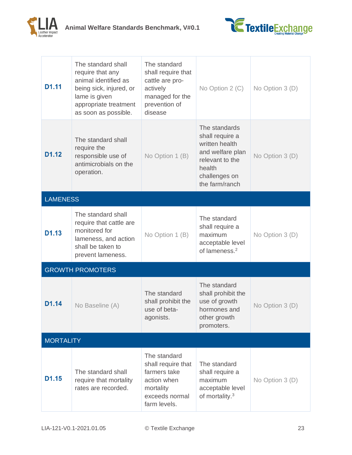



| D <sub>1.11</sub> | The standard shall<br>require that any<br>animal identified as<br>being sick, injured, or<br>lame is given<br>appropriate treatment<br>as soon as possible. | The standard<br>shall require that<br>cattle are pro-<br>actively<br>managed for the<br>prevention of<br>disease | No Option 2 (C)                                                                                                                        | No Option 3 (D) |
|-------------------|-------------------------------------------------------------------------------------------------------------------------------------------------------------|------------------------------------------------------------------------------------------------------------------|----------------------------------------------------------------------------------------------------------------------------------------|-----------------|
| D <sub>1.12</sub> | The standard shall<br>require the<br>responsible use of<br>antimicrobials on the<br>operation.                                                              | No Option 1 (B)                                                                                                  | The standards<br>shall require a<br>written health<br>and welfare plan<br>relevant to the<br>health<br>challenges on<br>the farm/ranch | No Option 3 (D) |
| <b>LAMENESS</b>   |                                                                                                                                                             |                                                                                                                  |                                                                                                                                        |                 |
| D1.13             | The standard shall<br>require that cattle are<br>monitored for<br>lameness, and action<br>shall be taken to<br>prevent lameness.                            | No Option 1 (B)                                                                                                  | The standard<br>shall require a<br>maximum<br>acceptable level<br>of lameness. <sup>2</sup>                                            | No Option 3 (D) |
|                   | <b>GROWTH PROMOTERS</b>                                                                                                                                     |                                                                                                                  |                                                                                                                                        |                 |
| D <sub>1.14</sub> | No Baseline (A)                                                                                                                                             | The standard<br>shall prohibit the<br>use of beta-<br>agonists.                                                  | The standard<br>shall prohibit the<br>use of growth<br>hormones and<br>other growth<br>promoters.                                      | No Option 3 (D) |
| <b>MORTALITY</b>  |                                                                                                                                                             |                                                                                                                  |                                                                                                                                        |                 |
| D1.15             | The standard shall<br>require that mortality<br>rates are recorded.                                                                                         | The standard<br>shall require that<br>farmers take<br>action when<br>mortality<br>exceeds normal<br>farm levels. | The standard<br>shall require a<br>maximum<br>acceptable level<br>of mortality. <sup>3</sup>                                           | No Option 3 (D) |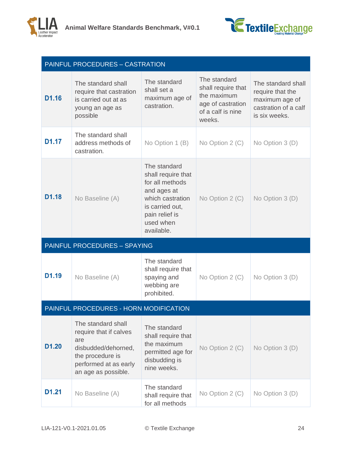



|                   | <b>PAINFUL PROCEDURES - CASTRATION</b>                                                                                                         |                                                                                                                                                          |                                                                                                       |                                                                                                   |
|-------------------|------------------------------------------------------------------------------------------------------------------------------------------------|----------------------------------------------------------------------------------------------------------------------------------------------------------|-------------------------------------------------------------------------------------------------------|---------------------------------------------------------------------------------------------------|
| D <sub>1.16</sub> | The standard shall<br>require that castration<br>is carried out at as<br>young an age as<br>possible                                           | The standard<br>shall set a<br>maximum age of<br>castration.                                                                                             | The standard<br>shall require that<br>the maximum<br>age of castration<br>of a calf is nine<br>weeks. | The standard shall<br>require that the<br>maximum age of<br>castration of a calf<br>is six weeks. |
| D <sub>1.17</sub> | The standard shall<br>address methods of<br>castration.                                                                                        | No Option 1 (B)                                                                                                                                          | No Option 2 (C)                                                                                       | No Option 3 (D)                                                                                   |
| D <sub>1.18</sub> | No Baseline (A)                                                                                                                                | The standard<br>shall require that<br>for all methods<br>and ages at<br>which castration<br>is carried out,<br>pain relief is<br>used when<br>available. | No Option 2 (C)                                                                                       | No Option 3 (D)                                                                                   |
|                   | <b>PAINFUL PROCEDURES - SPAYING</b>                                                                                                            |                                                                                                                                                          |                                                                                                       |                                                                                                   |
| D <sub>1.19</sub> | No Baseline (A)                                                                                                                                | The standard<br>shall require that<br>spaying and<br>webbing are<br>prohibited.                                                                          | No Option 2 (C)                                                                                       | No Option 3 (D)                                                                                   |
|                   | PAINFUL PROCEDURES - HORN MODIFICATION                                                                                                         |                                                                                                                                                          |                                                                                                       |                                                                                                   |
| D <sub>1.20</sub> | The standard shall<br>require that if calves<br>are<br>disbudded/dehorned,<br>the procedure is<br>performed at as early<br>an age as possible. | The standard<br>shall require that<br>the maximum<br>permitted age for<br>disbudding is<br>nine weeks.                                                   | No Option 2 (C)                                                                                       | No Option 3 (D)                                                                                   |
| D <sub>1.21</sub> | No Baseline (A)                                                                                                                                | The standard<br>shall require that<br>for all methods                                                                                                    | No Option 2 (C)                                                                                       | No Option 3 (D)                                                                                   |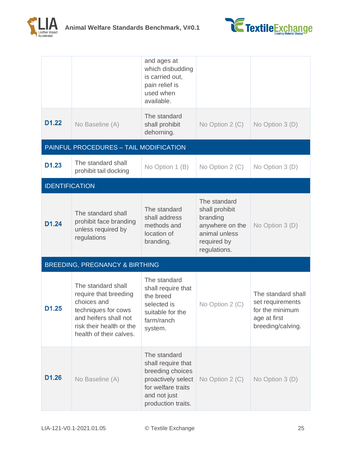



|                       |                                                                                                                                                                   | and ages at<br>which disbudding<br>is carried out,<br>pain relief is<br>used when<br>available.                                          |                                                                                                               |                                                                                                |
|-----------------------|-------------------------------------------------------------------------------------------------------------------------------------------------------------------|------------------------------------------------------------------------------------------------------------------------------------------|---------------------------------------------------------------------------------------------------------------|------------------------------------------------------------------------------------------------|
| D1.22                 | No Baseline (A)                                                                                                                                                   | The standard<br>shall prohibit<br>dehorning.                                                                                             | No Option 2 (C)                                                                                               | No Option 3 (D)                                                                                |
|                       | PAINFUL PROCEDURES - TAIL MODIFICATION                                                                                                                            |                                                                                                                                          |                                                                                                               |                                                                                                |
| D1.23                 | The standard shall<br>prohibit tail docking                                                                                                                       | No Option 1 (B)                                                                                                                          | No Option 2 (C)                                                                                               | No Option 3 (D)                                                                                |
| <b>IDENTIFICATION</b> |                                                                                                                                                                   |                                                                                                                                          |                                                                                                               |                                                                                                |
| D1.24                 | The standard shall<br>prohibit face branding<br>unless required by<br>regulations                                                                                 | The standard<br>shall address<br>methods and<br>location of<br>branding.                                                                 | The standard<br>shall prohibit<br>branding<br>anywhere on the<br>animal unless<br>required by<br>regulations. | No Option 3 (D)                                                                                |
|                       | <b>BREEDING, PREGNANCY &amp; BIRTHING</b>                                                                                                                         |                                                                                                                                          |                                                                                                               |                                                                                                |
| D1.25                 | The standard shall<br>require that breeding<br>choices and<br>techniques for cows<br>and heifers shall not<br>risk their health or the<br>health of their calves. | The standard<br>shall require that<br>the breed<br>selected is<br>suitable for the<br>farm/ranch<br>system.                              | No Option 2 (C)                                                                                               | The standard shall<br>set requirements<br>for the minimum<br>age at first<br>breeding/calving. |
| D1.26                 | No Baseline (A)                                                                                                                                                   | The standard<br>shall require that<br>breeding choices<br>proactively select<br>for welfare traits<br>and not just<br>production traits. | No Option 2 (C)                                                                                               | No Option 3 (D)                                                                                |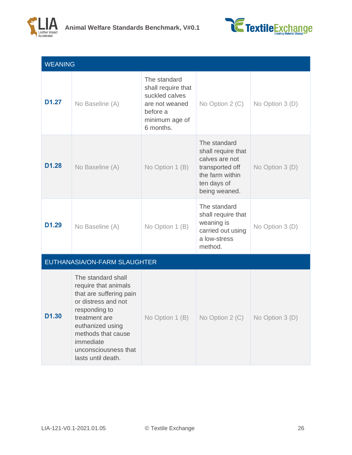



| <b>WEANING</b>    |                                                                                                                                                                                                                                     |                                                                                                                   |                                                                                                                            |                 |
|-------------------|-------------------------------------------------------------------------------------------------------------------------------------------------------------------------------------------------------------------------------------|-------------------------------------------------------------------------------------------------------------------|----------------------------------------------------------------------------------------------------------------------------|-----------------|
| D <sub>1.27</sub> | No Baseline (A)                                                                                                                                                                                                                     | The standard<br>shall require that<br>suckled calves<br>are not weaned<br>before a<br>minimum age of<br>6 months. | No Option 2 (C)                                                                                                            | No Option 3 (D) |
| D <sub>1.28</sub> | No Baseline (A)                                                                                                                                                                                                                     | No Option 1 (B)                                                                                                   | The standard<br>shall require that<br>calves are not<br>transported off<br>the farm within<br>ten days of<br>being weaned. | No Option 3 (D) |
| D <sub>1.29</sub> | No Baseline (A)                                                                                                                                                                                                                     | No Option 1 (B)                                                                                                   | The standard<br>shall require that<br>weaning is<br>carried out using<br>a low-stress<br>method.                           | No Option 3 (D) |
|                   | EUTHANASIA/ON-FARM SLAUGHTER                                                                                                                                                                                                        |                                                                                                                   |                                                                                                                            |                 |
| D1.30             | The standard shall<br>require that animals<br>that are suffering pain<br>or distress and not<br>responding to<br>treatment are<br>euthanized using<br>methods that cause<br>immediate<br>unconsciousness that<br>lasts until death. | No Option 1 (B)                                                                                                   | No Option 2 (C)                                                                                                            | No Option 3 (D) |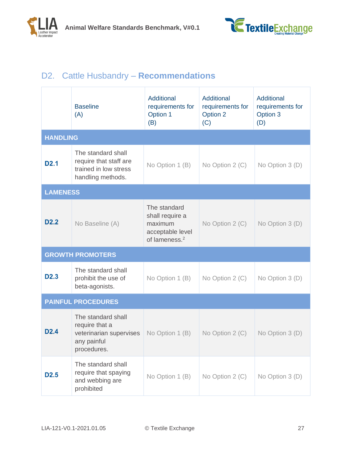

## <span id="page-26-0"></span>D2. Cattle Husbandry – **Recommendations**

|                  | <b>Baseline</b><br>(A)                                                                        | <b>Additional</b><br>requirements for<br>Option 1<br>(B)                                    | Additional<br>requirements for<br>Option 2<br>(C) | Additional<br>requirements for<br>Option 3<br>(D) |
|------------------|-----------------------------------------------------------------------------------------------|---------------------------------------------------------------------------------------------|---------------------------------------------------|---------------------------------------------------|
| <b>HANDLING</b>  |                                                                                               |                                                                                             |                                                   |                                                   |
| <b>D2.1</b>      | The standard shall<br>require that staff are<br>trained in low stress<br>handling methods.    | No Option 1 (B)                                                                             | No Option 2 (C)                                   | No Option 3 (D)                                   |
| <b>LAMENESS</b>  |                                                                                               |                                                                                             |                                                   |                                                   |
| D <sub>2.2</sub> | No Baseline (A)                                                                               | The standard<br>shall require a<br>maximum<br>acceptable level<br>of lameness. <sup>2</sup> | No Option 2 (C)                                   | No Option 3 (D)                                   |
|                  | <b>GROWTH PROMOTERS</b>                                                                       |                                                                                             |                                                   |                                                   |
| D <sub>2.3</sub> | The standard shall<br>prohibit the use of<br>beta-agonists.                                   | No Option 1 (B)                                                                             | No Option 2 (C)                                   | No Option 3 (D)                                   |
|                  | <b>PAINFUL PROCEDURES</b>                                                                     |                                                                                             |                                                   |                                                   |
| D <sub>2.4</sub> | The standard shall<br>require that a<br>veterinarian supervises<br>any painful<br>procedures. | No Option 1 (B)                                                                             | No Option 2 (C)                                   | No Option 3 (D)                                   |
| D <sub>2.5</sub> | The standard shall<br>require that spaying<br>and webbing are<br>prohibited                   | No Option 1 (B)                                                                             | No Option 2 (C)                                   | No Option 3 (D)                                   |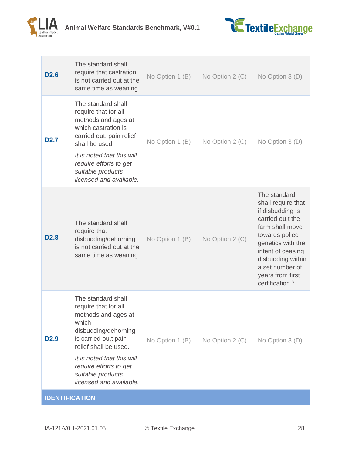



| D <sub>2.6</sub>      | The standard shall<br>require that castration<br>is not carried out at the<br>same time as weaning                                                                                                                                                          | No Option 1 (B) | No Option 2 (C) | No Option 3 (D)                                                                                                                                                                                                                                      |
|-----------------------|-------------------------------------------------------------------------------------------------------------------------------------------------------------------------------------------------------------------------------------------------------------|-----------------|-----------------|------------------------------------------------------------------------------------------------------------------------------------------------------------------------------------------------------------------------------------------------------|
| <b>D2.7</b>           | The standard shall<br>require that for all<br>methods and ages at<br>which castration is<br>carried out, pain relief<br>shall be used.<br>It is noted that this will<br>require efforts to get<br>suitable products<br>licensed and available.              | No Option 1 (B) | No Option 2 (C) | No Option 3 (D)                                                                                                                                                                                                                                      |
| D <sub>2.8</sub>      | The standard shall<br>require that<br>disbudding/dehorning<br>is not carried out at the<br>same time as weaning                                                                                                                                             | No Option 1 (B) | No Option 2 (C) | The standard<br>shall require that<br>if disbudding is<br>carried ou,t the<br>farm shall move<br>towards polled<br>genetics with the<br>intent of ceasing<br>disbudding within<br>a set number of<br>years from first<br>certification. <sup>3</sup> |
| D <sub>2.9</sub>      | The standard shall<br>require that for all<br>methods and ages at<br>which<br>disbudding/dehorning<br>is carried ou,t pain<br>relief shall be used.<br>It is noted that this will<br>require efforts to get<br>suitable products<br>licensed and available. | No Option 1 (B) | No Option 2 (C) | No Option 3 (D)                                                                                                                                                                                                                                      |
| <b>IDENTIFICATION</b> |                                                                                                                                                                                                                                                             |                 |                 |                                                                                                                                                                                                                                                      |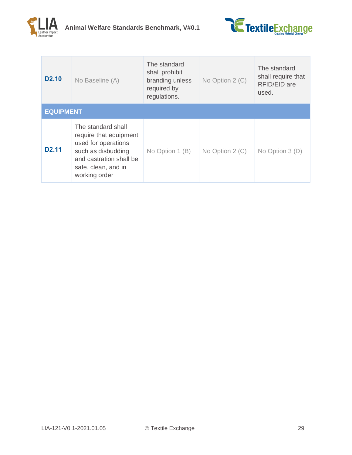



| D <sub>2.10</sub> | No Baseline (A)                                                                                                                                              | The standard<br>shall prohibit<br>branding unless<br>required by<br>regulations. | No Option 2 (C) | The standard<br>shall require that<br>RFID/EID are<br>used. |
|-------------------|--------------------------------------------------------------------------------------------------------------------------------------------------------------|----------------------------------------------------------------------------------|-----------------|-------------------------------------------------------------|
| <b>EQUIPMENT</b>  |                                                                                                                                                              |                                                                                  |                 |                                                             |
| D <sub>2.11</sub> | The standard shall<br>require that equipment<br>used for operations<br>such as disbudding<br>and castration shall be<br>safe, clean, and in<br>working order | No Option 1 (B)                                                                  | No Option 2 (C) | No Option $3(D)$                                            |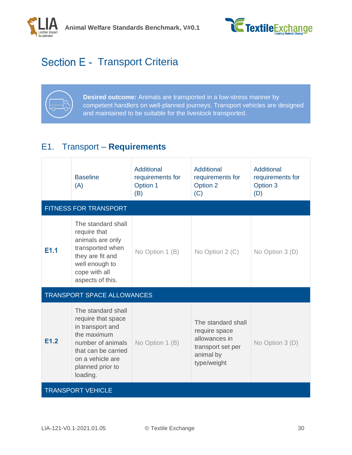



# <span id="page-29-0"></span>Section E - Transport Criteria



**Desired outcome:** Animals are transported in a low-stress manner by competent handlers on well-planned journeys. Transport vehicles are designed and maintained to be suitable for the livestock transported.

## <span id="page-29-1"></span>E1. Transport – **Requirements**

|      | <b>Baseline</b><br>(A)                                                                                                                                                      | Additional<br>requirements for<br>Option 1<br>(B) | Additional<br>requirements for<br>Option 2<br>(C)                                                     | Additional<br>requirements for<br>Option 3<br>(D) |
|------|-----------------------------------------------------------------------------------------------------------------------------------------------------------------------------|---------------------------------------------------|-------------------------------------------------------------------------------------------------------|---------------------------------------------------|
|      | <b>FITNESS FOR TRANSPORT</b>                                                                                                                                                |                                                   |                                                                                                       |                                                   |
| E1.1 | The standard shall<br>require that<br>animals are only<br>transported when<br>they are fit and<br>well enough to<br>cope with all<br>aspects of this.                       | No Option 1 (B)                                   | No Option 2 (C)                                                                                       | No Option 3 (D)                                   |
|      | <b>TRANSPORT SPACE ALLOWANCES</b>                                                                                                                                           |                                                   |                                                                                                       |                                                   |
| E1.2 | The standard shall<br>require that space<br>in transport and<br>the maximum<br>number of animals<br>that can be carried<br>on a vehicle are<br>planned prior to<br>loading. | No Option 1 (B)                                   | The standard shall<br>require space<br>allowances in<br>transport set per<br>animal by<br>type/weight | No Option 3 (D)                                   |
|      | <b>TRANSPORT VEHICLE</b>                                                                                                                                                    |                                                   |                                                                                                       |                                                   |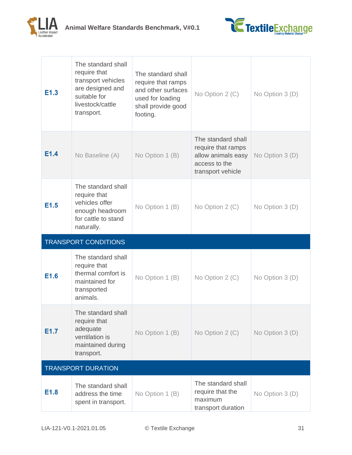



| E1.3                        | The standard shall<br>require that<br>transport vehicles<br>are designed and<br>suitable for<br>livestock/cattle<br>transport. | The standard shall<br>require that ramps<br>and other surfaces<br>used for loading<br>shall provide good<br>footing. | No Option 2 (C)                                                                                      | No Option 3 (D) |  |
|-----------------------------|--------------------------------------------------------------------------------------------------------------------------------|----------------------------------------------------------------------------------------------------------------------|------------------------------------------------------------------------------------------------------|-----------------|--|
| E1.4                        | No Baseline (A)                                                                                                                | No Option 1 (B)                                                                                                      | The standard shall<br>require that ramps<br>allow animals easy<br>access to the<br>transport vehicle | No Option 3 (D) |  |
| E1.5                        | The standard shall<br>require that<br>vehicles offer<br>enough headroom<br>for cattle to stand<br>naturally.                   | No Option 1 (B)                                                                                                      | No Option 2 (C)                                                                                      | No Option 3 (D) |  |
| <b>TRANSPORT CONDITIONS</b> |                                                                                                                                |                                                                                                                      |                                                                                                      |                 |  |
|                             |                                                                                                                                |                                                                                                                      |                                                                                                      |                 |  |
| E1.6                        | The standard shall<br>require that<br>thermal comfort is<br>maintained for<br>transported<br>animals.                          | No Option 1 (B)                                                                                                      | No Option 2 (C)                                                                                      | No Option 3 (D) |  |
| E1.7                        | The standard shall<br>require that<br>adequate<br>ventilation is<br>maintained during<br>transport.                            | No Option 1 (B)                                                                                                      | No Option 2 (C)                                                                                      | No Option 3 (D) |  |
|                             | <b>TRANSPORT DURATION</b>                                                                                                      |                                                                                                                      |                                                                                                      |                 |  |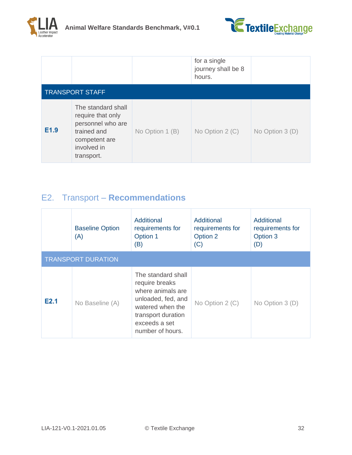

|      |                                                                                                                           |                 | for a single<br>journey shall be 8<br>hours. |                 |
|------|---------------------------------------------------------------------------------------------------------------------------|-----------------|----------------------------------------------|-----------------|
|      | <b>TRANSPORT STAFF</b>                                                                                                    |                 |                                              |                 |
| E1.9 | The standard shall<br>require that only<br>personnel who are<br>trained and<br>competent are<br>involved in<br>transport. | No Option 1 (B) | No Option 2 (C)                              | No Option 3 (D) |

## <span id="page-31-0"></span>E2. Transport – **Recommendations**

|      | <b>Baseline Option</b><br>(A) | Additional<br>requirements for<br>Option 1<br>(B)                                                                                                              | Additional<br>requirements for<br>Option 2<br>(C) | Additional<br>requirements for<br>Option 3<br>(D) |  |  |  |
|------|-------------------------------|----------------------------------------------------------------------------------------------------------------------------------------------------------------|---------------------------------------------------|---------------------------------------------------|--|--|--|
|      | <b>TRANSPORT DURATION</b>     |                                                                                                                                                                |                                                   |                                                   |  |  |  |
| E2.1 | No Baseline (A)               | The standard shall<br>require breaks<br>where animals are<br>unloaded, fed, and<br>watered when the<br>transport duration<br>exceeds a set<br>number of hours. | No Option 2 (C)                                   | No Option $3(D)$                                  |  |  |  |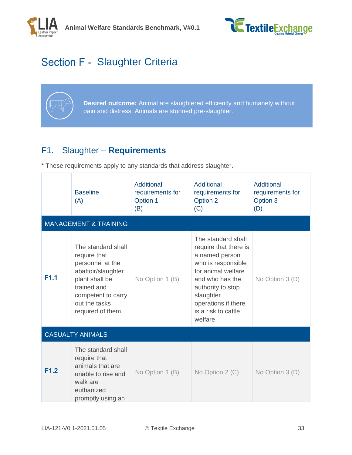



# <span id="page-32-0"></span>Section F - Slaughter Criteria



**Desired outcome:** Animal are slaughtered efficiently and humanely without pain and distress. Animals are stunned pre-slaughter.

## <span id="page-32-1"></span>F1. Slaughter – **Requirements**

|      | <b>Baseline</b><br>(A)                                                                                                                                                    | <b>Additional</b><br>requirements for<br>Option 1<br>(B) | Additional<br>requirements for<br>Option 2<br>(C)                                                                                                                                                                        | <b>Additional</b><br>requirements for<br>Option 3<br>(D) |
|------|---------------------------------------------------------------------------------------------------------------------------------------------------------------------------|----------------------------------------------------------|--------------------------------------------------------------------------------------------------------------------------------------------------------------------------------------------------------------------------|----------------------------------------------------------|
|      | <b>MANAGEMENT &amp; TRAINING</b>                                                                                                                                          |                                                          |                                                                                                                                                                                                                          |                                                          |
| F1.1 | The standard shall<br>require that<br>personnel at the<br>abattoir/slaughter<br>plant shall be<br>trained and<br>competent to carry<br>out the tasks<br>required of them. | No Option 1 (B)                                          | The standard shall<br>require that there is<br>a named person<br>who is responsible<br>for animal welfare<br>and who has the<br>authority to stop<br>slaughter<br>operations if there<br>is a risk to cattle<br>welfare. | No Option 3 (D)                                          |
|      | <b>CASUALTY ANIMALS</b>                                                                                                                                                   |                                                          |                                                                                                                                                                                                                          |                                                          |
| F1.2 | The standard shall<br>require that<br>animals that are<br>unable to rise and<br>walk are<br>euthanized<br>promptly using an                                               | No Option 1 (B)                                          | No Option $2(C)$                                                                                                                                                                                                         | No Option 3 (D)                                          |

\* These requirements apply to any standards that address slaughter.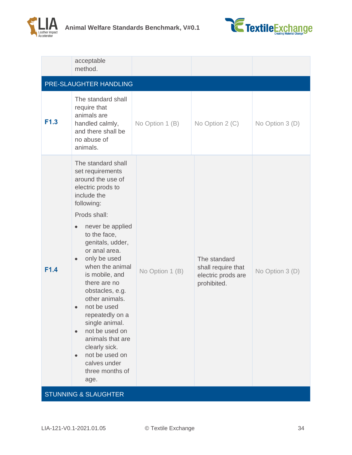



|      | acceptable<br>method.                                                                                                                                                                                                                                                                                                                                                                                                                                                                                              |                 |                                                                         |                 |
|------|--------------------------------------------------------------------------------------------------------------------------------------------------------------------------------------------------------------------------------------------------------------------------------------------------------------------------------------------------------------------------------------------------------------------------------------------------------------------------------------------------------------------|-----------------|-------------------------------------------------------------------------|-----------------|
|      | PRE-SLAUGHTER HANDLING                                                                                                                                                                                                                                                                                                                                                                                                                                                                                             |                 |                                                                         |                 |
| F1.3 | The standard shall<br>require that<br>animals are<br>handled calmly,<br>and there shall be<br>no abuse of<br>animals.                                                                                                                                                                                                                                                                                                                                                                                              | No Option 1 (B) | No Option 2 (C)                                                         | No Option 3 (D) |
| F1.4 | The standard shall<br>set requirements<br>around the use of<br>electric prods to<br>include the<br>following:<br>Prods shall:<br>never be applied<br>$\bullet$<br>to the face,<br>genitals, udder,<br>or anal area.<br>only be used<br>when the animal<br>is mobile, and<br>there are no<br>obstacles, e.g.<br>other animals.<br>not be used<br>repeatedly on a<br>single animal.<br>not be used on<br>$\bullet$<br>animals that are<br>clearly sick.<br>not be used on<br>calves under<br>three months of<br>age. | No Option 1 (B) | The standard<br>shall require that<br>electric prods are<br>prohibited. | No Option 3 (D) |
|      | <b>STUNNING &amp; SLAUGHTER</b>                                                                                                                                                                                                                                                                                                                                                                                                                                                                                    |                 |                                                                         |                 |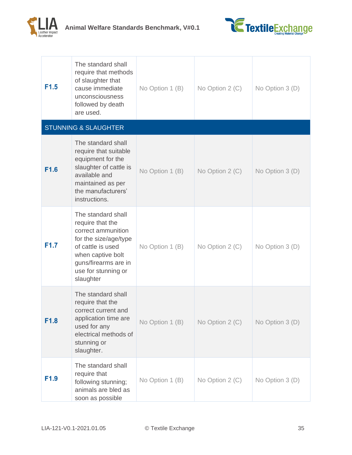



| F <sub>1.5</sub> | The standard shall<br>require that methods<br>of slaughter that<br>cause immediate<br>unconsciousness<br>followed by death<br>are used.                                                     | No Option 1 (B) | No Option 2 (C) | No Option 3 (D) |
|------------------|---------------------------------------------------------------------------------------------------------------------------------------------------------------------------------------------|-----------------|-----------------|-----------------|
|                  | <b>STUNNING &amp; SLAUGHTER</b>                                                                                                                                                             |                 |                 |                 |
| F1.6             | The standard shall<br>require that suitable<br>equipment for the<br>slaughter of cattle is<br>available and<br>maintained as per<br>the manufacturers'<br>instructions.                     | No Option 1 (B) | No Option 2 (C) | No Option 3 (D) |
| F <sub>1.7</sub> | The standard shall<br>require that the<br>correct ammunition<br>for the size/age/type<br>of cattle is used<br>when captive bolt<br>guns/firearms are in<br>use for stunning or<br>slaughter | No Option 1 (B) | No Option 2 (C) | No Option 3 (D) |
| F1.8             | The standard shall<br>require that the<br>correct current and<br>application time are<br>used for any<br>electrical methods of<br>stunning or<br>slaughter.                                 | No Option 1 (B) | No Option 2 (C) | No Option 3 (D) |
| F <sub>1.9</sub> | The standard shall<br>require that<br>following stunning;<br>animals are bled as<br>soon as possible                                                                                        | No Option 1 (B) | No Option 2 (C) | No Option 3 (D) |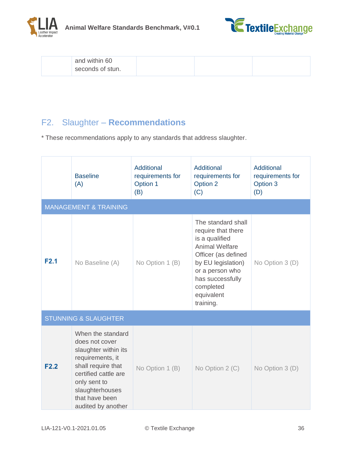



| and within 60    |  |  |
|------------------|--|--|
| seconds of stun. |  |  |

## <span id="page-35-0"></span>F2. Slaughter – **Recommendations**

\* These recommendations apply to any standards that address slaughter.

|      | <b>Baseline</b><br>(A)                                                                                                                                                                                   | Additional<br>requirements for<br>Option 1<br>(B) | Additional<br>requirements for<br>Option 2<br>(C)                                                                                                                                                               | Additional<br>requirements for<br>Option 3<br>(D) |
|------|----------------------------------------------------------------------------------------------------------------------------------------------------------------------------------------------------------|---------------------------------------------------|-----------------------------------------------------------------------------------------------------------------------------------------------------------------------------------------------------------------|---------------------------------------------------|
|      | <b>MANAGEMENT &amp; TRAINING</b>                                                                                                                                                                         |                                                   |                                                                                                                                                                                                                 |                                                   |
| F2.1 | No Baseline (A)                                                                                                                                                                                          | No Option 1 (B)                                   | The standard shall<br>require that there<br>is a qualified<br><b>Animal Welfare</b><br>Officer (as defined<br>by EU legislation)<br>or a person who<br>has successfully<br>completed<br>equivalent<br>training. | No Option 3 (D)                                   |
|      | <b>STUNNING &amp; SLAUGHTER</b>                                                                                                                                                                          |                                                   |                                                                                                                                                                                                                 |                                                   |
| F2.2 | When the standard<br>does not cover<br>slaughter within its<br>requirements, it<br>shall require that<br>certified cattle are<br>only sent to<br>slaughterhouses<br>that have been<br>audited by another | No Option 1 (B)                                   | No Option 2 (C)                                                                                                                                                                                                 | No Option 3 (D)                                   |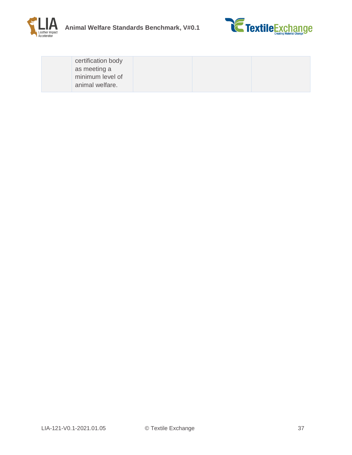



| certification body<br>as meeting a<br>minimum level of |                 |  |
|--------------------------------------------------------|-----------------|--|
|                                                        |                 |  |
|                                                        | animal welfare. |  |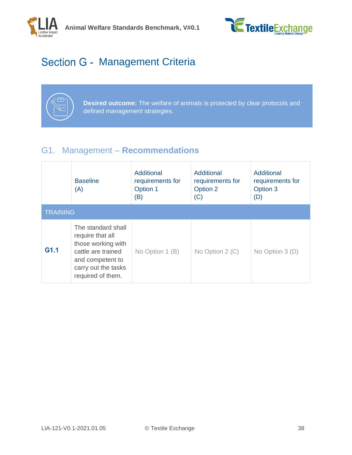



# <span id="page-37-0"></span>Section G - Management Criteria



**Desired outcome:** The welfare of animals is protected by clear protocols and defined management strategies.

## <span id="page-37-1"></span>G1. Management – **Recommendations**

|                 | <b>Baseline</b><br>(A)                                                                                                                             | Additional<br>requirements for<br>Option 1<br>(B) | Additional<br>requirements for<br>Option 2<br>(C) | Additional<br>requirements for<br>Option 3<br>(D) |
|-----------------|----------------------------------------------------------------------------------------------------------------------------------------------------|---------------------------------------------------|---------------------------------------------------|---------------------------------------------------|
| <b>TRAINING</b> |                                                                                                                                                    |                                                   |                                                   |                                                   |
| G1.1            | The standard shall<br>require that all<br>those working with<br>cattle are trained<br>and competent to<br>carry out the tasks<br>required of them. | No Option 1 (B)                                   | No Option $2(C)$                                  | No Option $3(D)$                                  |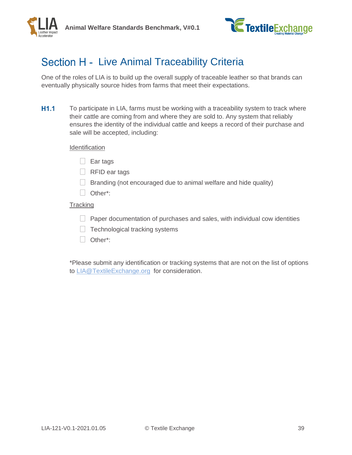



## <span id="page-38-0"></span>Section H - Live Animal Traceability Criteria

One of the roles of LIA is to build up the overall supply of traceable leather so that brands can eventually physically source hides from farms that meet their expectations.

 $H1.1$ To participate in LIA, farms must be working with a traceability system to track where their cattle are coming from and where they are sold to. Any system that reliably ensures the identity of the individual cattle and keeps a record of their purchase and sale will be accepted, including:

#### **Identification**

- $\Box$  Ear tags
- $\Box$  RFID ear tags
- $\Box$  Branding (not encouraged due to animal welfare and hide quality)
- Other\*:

### **Tracking**

- $\Box$  Paper documentation of purchases and sales, with individual cow identities
- $\Box$  Technological tracking systems
- Other\*:

\*Please submit any identification or tracking systems that are not on the list of options to [LIA@TextileExchange.org](mailto:LIA@TextileExchange.org) for consideration.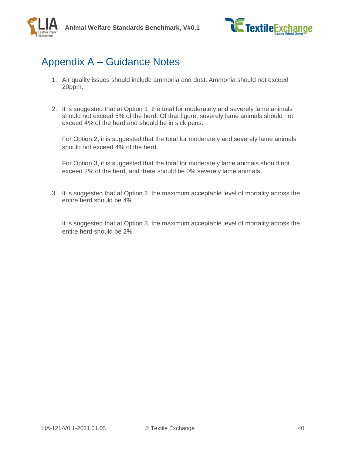

# <span id="page-39-0"></span>Appendix A – Guidance Notes

- 1. Air quality issues should include ammonia and dust. Ammonia should not exceed 20ppm.
- 2. It is suggested that at Option 1, the total for moderately and severely lame animals should not exceed 5% of the herd. Of that figure, severely lame animals should not exceed 4% of the herd and should be in sick pens.

For Option 2, it is suggested that the total for moderately and severely lame animals should not exceed 4% of the herd.

For Option 3, it is suggested that the total for moderately lame animals should not exceed 2% of the herd, and there should be 0% severely lame animals.

3. It is suggested that at Option 2, the maximum acceptable level of mortality across the entire herd should be 4%.

It is suggested that at Option 3, the maximum acceptable level of mortality across the entire herd should be 2%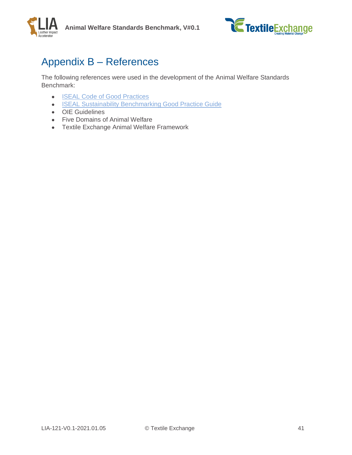



## <span id="page-40-0"></span>Appendix B – References

The following references were used in the development of the Animal Welfare Standards Benchmark:

- **[ISEAL Code of Good Practices](mailto:https://www.isealalliance.org/credible-sustainability-standards/iseal-codes-good-practice)**
- **[ISEAL Sustainability Benchmarking Good Practice Guide](mailto:https://www.isealalliance.org/benchmarking)**
- OIE Guidelines
- Five Domains of Animal Welfare
- Textile Exchange Animal Welfare Framework